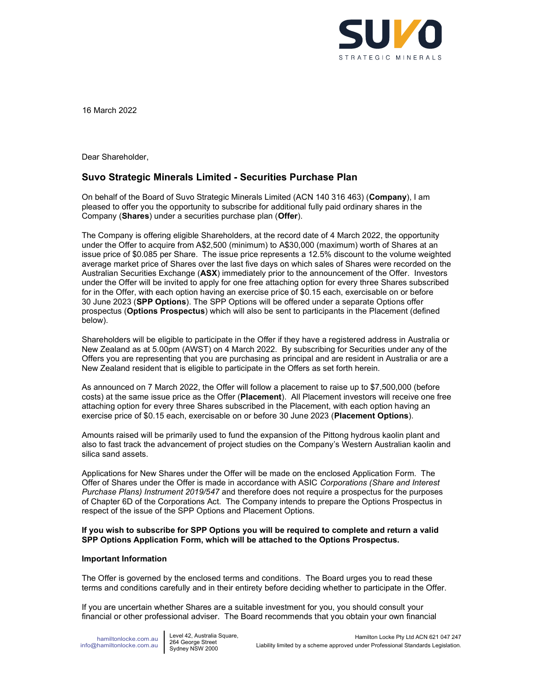

16 March 2022

Dear Shareholder,

# Suvo Strategic Minerals Limited - Securities Purchase Plan

On behalf of the Board of Suvo Strategic Minerals Limited (ACN 140 316 463) (Company), I am pleased to offer you the opportunity to subscribe for additional fully paid ordinary shares in the Company (Shares) under a securities purchase plan (Offer).

The Company is offering eligible Shareholders, at the record date of 4 March 2022, the opportunity under the Offer to acquire from A\$2,500 (minimum) to A\$30,000 (maximum) worth of Shares at an issue price of \$0.085 per Share. The issue price represents a 12.5% discount to the volume weighted average market price of Shares over the last five days on which sales of Shares were recorded on the Australian Securities Exchange (ASX) immediately prior to the announcement of the Offer. Investors under the Offer will be invited to apply for one free attaching option for every three Shares subscribed for in the Offer, with each option having an exercise price of \$0.15 each, exercisable on or before 30 June 2023 (SPP Options). The SPP Options will be offered under a separate Options offer prospectus (Options Prospectus) which will also be sent to participants in the Placement (defined below).

Shareholders will be eligible to participate in the Offer if they have a registered address in Australia or New Zealand as at 5.00pm (AWST) on 4 March 2022. By subscribing for Securities under any of the Offers you are representing that you are purchasing as principal and are resident in Australia or are a New Zealand resident that is eligible to participate in the Offers as set forth herein.

As announced on 7 March 2022, the Offer will follow a placement to raise up to \$7,500,000 (before costs) at the same issue price as the Offer (Placement). All Placement investors will receive one free attaching option for every three Shares subscribed in the Placement, with each option having an exercise price of \$0.15 each, exercisable on or before 30 June 2023 (Placement Options).

Amounts raised will be primarily used to fund the expansion of the Pittong hydrous kaolin plant and also to fast track the advancement of project studies on the Company's Western Australian kaolin and silica sand assets.

Applications for New Shares under the Offer will be made on the enclosed Application Form. The Offer of Shares under the Offer is made in accordance with ASIC Corporations (Share and Interest Purchase Plans) Instrument 2019/547 and therefore does not require a prospectus for the purposes of Chapter 6D of the Corporations Act. The Company intends to prepare the Options Prospectus in respect of the issue of the SPP Options and Placement Options.

#### If you wish to subscribe for SPP Options you will be required to complete and return a valid SPP Options Application Form, which will be attached to the Options Prospectus.

#### Important Information

The Offer is governed by the enclosed terms and conditions. The Board urges you to read these terms and conditions carefully and in their entirety before deciding whether to participate in the Offer.

If you are uncertain whether Shares are a suitable investment for you, you should consult your financial or other professional adviser. The Board recommends that you obtain your own financial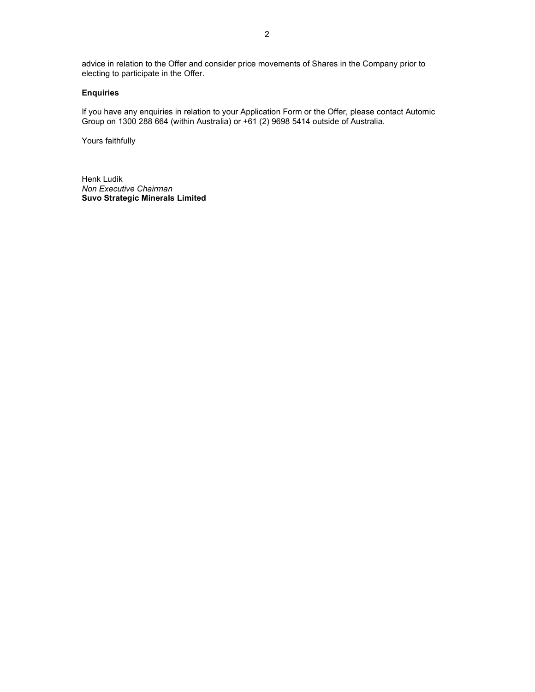advice in relation to the Offer and consider price movements of Shares in the Company prior to electing to participate in the Offer.

#### Enquiries

If you have any enquiries in relation to your Application Form or the Offer, please contact Automic Group on 1300 288 664 (within Australia) or +61 (2) 9698 5414 outside of Australia.

Yours faithfully

Henk Ludik Non Executive Chairman Suvo Strategic Minerals Limited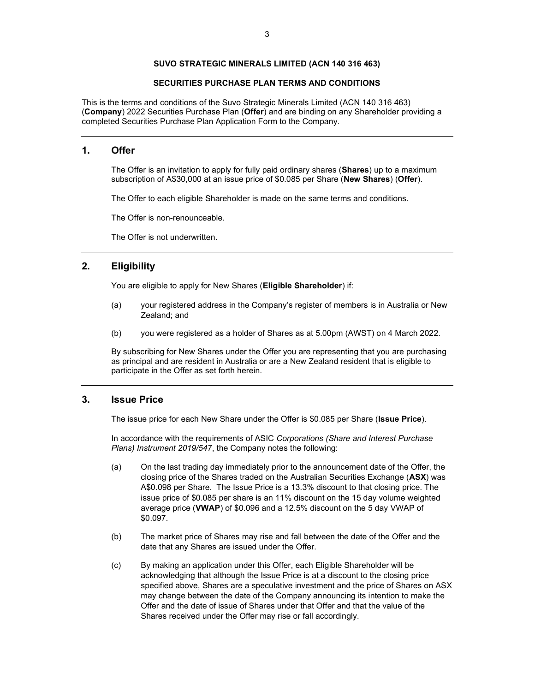#### SUVO STRATEGIC MINERALS LIMITED (ACN 140 316 463)

#### SECURITIES PURCHASE PLAN TERMS AND CONDITIONS

This is the terms and conditions of the Suvo Strategic Minerals Limited (ACN 140 316 463) (Company) 2022 Securities Purchase Plan (Offer) and are binding on any Shareholder providing a completed Securities Purchase Plan Application Form to the Company.

#### 1. Offer

The Offer is an invitation to apply for fully paid ordinary shares (Shares) up to a maximum subscription of A\$30,000 at an issue price of \$0.085 per Share (New Shares) (Offer).

The Offer to each eligible Shareholder is made on the same terms and conditions.

The Offer is non-renounceable.

The Offer is not underwritten.

# 2. Eligibility

You are eligible to apply for New Shares (Eligible Shareholder) if:

- (a) your registered address in the Company's register of members is in Australia or New Zealand; and
- (b) you were registered as a holder of Shares as at 5.00pm (AWST) on 4 March 2022.

By subscribing for New Shares under the Offer you are representing that you are purchasing as principal and are resident in Australia or are a New Zealand resident that is eligible to participate in the Offer as set forth herein.

#### 3. Issue Price

The issue price for each New Share under the Offer is \$0.085 per Share (Issue Price).

In accordance with the requirements of ASIC Corporations (Share and Interest Purchase Plans) Instrument 2019/547, the Company notes the following:

- (a) On the last trading day immediately prior to the announcement date of the Offer, the closing price of the Shares traded on the Australian Securities Exchange (ASX) was A\$0.098 per Share. The Issue Price is a 13.3% discount to that closing price. The issue price of \$0.085 per share is an 11% discount on the 15 day volume weighted average price (VWAP) of \$0.096 and a 12.5% discount on the 5 day VWAP of \$0.097.
- (b) The market price of Shares may rise and fall between the date of the Offer and the date that any Shares are issued under the Offer.
- (c) By making an application under this Offer, each Eligible Shareholder will be acknowledging that although the Issue Price is at a discount to the closing price specified above, Shares are a speculative investment and the price of Shares on ASX may change between the date of the Company announcing its intention to make the Offer and the date of issue of Shares under that Offer and that the value of the Shares received under the Offer may rise or fall accordingly.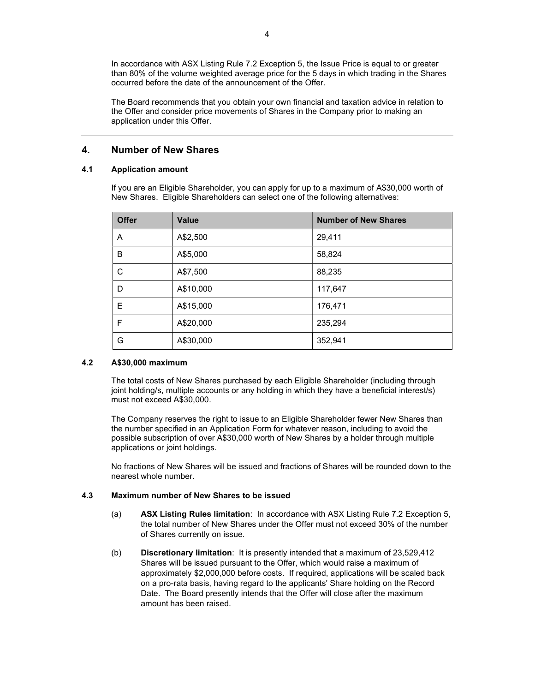In accordance with ASX Listing Rule 7.2 Exception 5, the Issue Price is equal to or greater than 80% of the volume weighted average price for the 5 days in which trading in the Shares occurred before the date of the announcement of the Offer.

The Board recommends that you obtain your own financial and taxation advice in relation to the Offer and consider price movements of Shares in the Company prior to making an application under this Offer.

# 4. Number of New Shares

#### 4.1 Application amount

If you are an Eligible Shareholder, you can apply for up to a maximum of A\$30,000 worth of New Shares. Eligible Shareholders can select one of the following alternatives:

| <b>Offer</b> | <b>Value</b> | <b>Number of New Shares</b> |  |
|--------------|--------------|-----------------------------|--|
| A            | A\$2,500     | 29,411                      |  |
| B            | A\$5,000     | 58,824                      |  |
| С            | A\$7,500     | 88,235                      |  |
| D            | A\$10,000    | 117,647                     |  |
| Е            | A\$15,000    | 176,471                     |  |
| F            | A\$20,000    | 235,294                     |  |
| G            | A\$30,000    | 352,941                     |  |

#### 4.2 A\$30,000 maximum

The total costs of New Shares purchased by each Eligible Shareholder (including through joint holding/s, multiple accounts or any holding in which they have a beneficial interest/s) must not exceed A\$30,000.

The Company reserves the right to issue to an Eligible Shareholder fewer New Shares than the number specified in an Application Form for whatever reason, including to avoid the possible subscription of over A\$30,000 worth of New Shares by a holder through multiple applications or joint holdings.

No fractions of New Shares will be issued and fractions of Shares will be rounded down to the nearest whole number.

#### 4.3 Maximum number of New Shares to be issued

- (a) ASX Listing Rules limitation: In accordance with ASX Listing Rule 7.2 Exception 5, the total number of New Shares under the Offer must not exceed 30% of the number of Shares currently on issue.
- (b) Discretionary limitation: It is presently intended that a maximum of 23,529,412 Shares will be issued pursuant to the Offer, which would raise a maximum of approximately \$2,000,000 before costs. If required, applications will be scaled back on a pro-rata basis, having regard to the applicants' Share holding on the Record Date. The Board presently intends that the Offer will close after the maximum amount has been raised.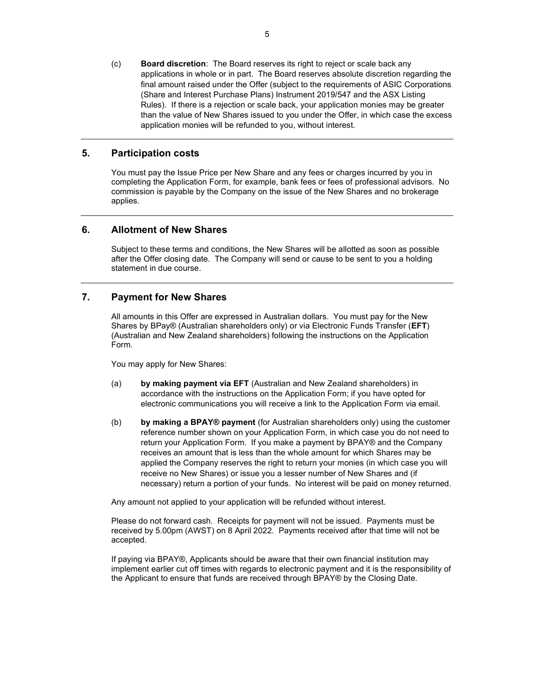(c) Board discretion: The Board reserves its right to reject or scale back any applications in whole or in part. The Board reserves absolute discretion regarding the final amount raised under the Offer (subject to the requirements of ASIC Corporations (Share and Interest Purchase Plans) Instrument 2019/547 and the ASX Listing Rules). If there is a rejection or scale back, your application monies may be greater than the value of New Shares issued to you under the Offer, in which case the excess application monies will be refunded to you, without interest.

## 5. Participation costs

You must pay the Issue Price per New Share and any fees or charges incurred by you in completing the Application Form, for example, bank fees or fees of professional advisors. No commission is payable by the Company on the issue of the New Shares and no brokerage applies.

## 6. Allotment of New Shares

Subject to these terms and conditions, the New Shares will be allotted as soon as possible after the Offer closing date. The Company will send or cause to be sent to you a holding statement in due course.

## 7. Payment for New Shares

All amounts in this Offer are expressed in Australian dollars. You must pay for the New Shares by BPay® (Australian shareholders only) or via Electronic Funds Transfer (EFT) (Australian and New Zealand shareholders) following the instructions on the Application Form.

You may apply for New Shares:

- (a) by making payment via EFT (Australian and New Zealand shareholders) in accordance with the instructions on the Application Form; if you have opted for electronic communications you will receive a link to the Application Form via email.
- (b) by making a BPAY® payment (for Australian shareholders only) using the customer reference number shown on your Application Form, in which case you do not need to return your Application Form. If you make a payment by BPAY® and the Company receives an amount that is less than the whole amount for which Shares may be applied the Company reserves the right to return your monies (in which case you will receive no New Shares) or issue you a lesser number of New Shares and (if necessary) return a portion of your funds. No interest will be paid on money returned.

Any amount not applied to your application will be refunded without interest.

Please do not forward cash. Receipts for payment will not be issued. Payments must be received by 5.00pm (AWST) on 8 April 2022. Payments received after that time will not be accepted.

If paying via BPAY®, Applicants should be aware that their own financial institution may implement earlier cut off times with regards to electronic payment and it is the responsibility of the Applicant to ensure that funds are received through BPAY® by the Closing Date.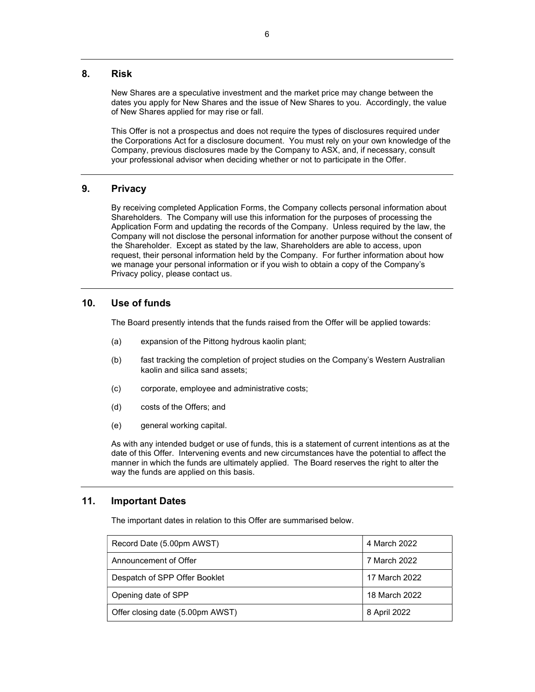# 8. Risk

New Shares are a speculative investment and the market price may change between the dates you apply for New Shares and the issue of New Shares to you. Accordingly, the value of New Shares applied for may rise or fall.

This Offer is not a prospectus and does not require the types of disclosures required under the Corporations Act for a disclosure document. You must rely on your own knowledge of the Company, previous disclosures made by the Company to ASX, and, if necessary, consult your professional advisor when deciding whether or not to participate in the Offer.

# 9. Privacy

By receiving completed Application Forms, the Company collects personal information about Shareholders. The Company will use this information for the purposes of processing the Application Form and updating the records of the Company. Unless required by the law, the Company will not disclose the personal information for another purpose without the consent of the Shareholder. Except as stated by the law, Shareholders are able to access, upon request, their personal information held by the Company. For further information about how we manage your personal information or if you wish to obtain a copy of the Company's Privacy policy, please contact us.

# 10. Use of funds

The Board presently intends that the funds raised from the Offer will be applied towards:

- (a) expansion of the Pittong hydrous kaolin plant;
- (b) fast tracking the completion of project studies on the Company's Western Australian kaolin and silica sand assets;
- (c) corporate, employee and administrative costs;
- (d) costs of the Offers; and
- (e) general working capital.

As with any intended budget or use of funds, this is a statement of current intentions as at the date of this Offer. Intervening events and new circumstances have the potential to affect the manner in which the funds are ultimately applied. The Board reserves the right to alter the way the funds are applied on this basis.

### 11. Important Dates

The important dates in relation to this Offer are summarised below.

| Record Date (5.00pm AWST)        | 4 March 2022  |  |
|----------------------------------|---------------|--|
| Announcement of Offer            | 7 March 2022  |  |
| Despatch of SPP Offer Booklet    | 17 March 2022 |  |
| Opening date of SPP              | 18 March 2022 |  |
| Offer closing date (5.00pm AWST) | 8 April 2022  |  |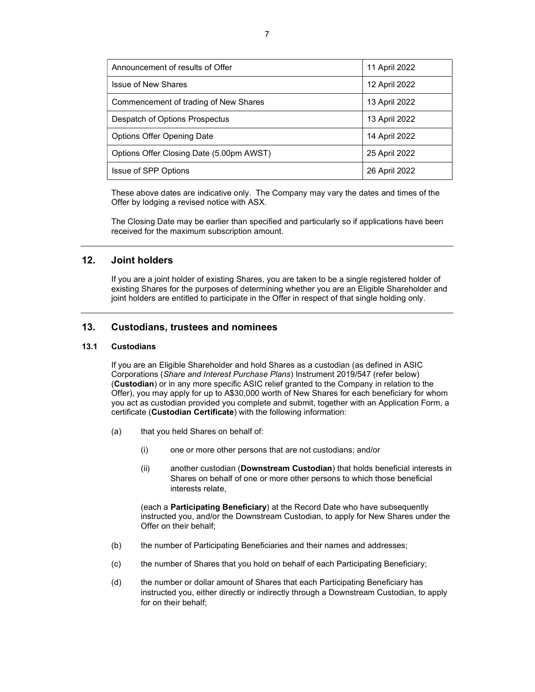| Announcement of results of Offer         | 11 April 2022 |
|------------------------------------------|---------------|
| <b>Issue of New Shares</b>               | 12 April 2022 |
| Commencement of trading of New Shares    | 13 April 2022 |
| Despatch of Options Prospectus           | 13 April 2022 |
| <b>Options Offer Opening Date</b>        | 14 April 2022 |
| Options Offer Closing Date (5.00pm AWST) | 25 April 2022 |
| Issue of SPP Options                     | 26 April 2022 |

These above dates are indicative only. The Company may vary the dates and times of the Offer by lodging a revised notice with ASX.

The Closing Date may be earlier than specified and particularly so if applications have been received for the maximum subscription amount.

# 12. Joint holders

If you are a joint holder of existing Shares, you are taken to be a single registered holder of existing Shares for the purposes of determining whether you are an Eligible Shareholder and joint holders are entitled to participate in the Offer in respect of that single holding only.

# 13. Custodians, trustees and nominees

#### 13.1 Custodians

If you are an Eligible Shareholder and hold Shares as a custodian (as defined in ASIC Corporations (Share and Interest Purchase Plans) Instrument 2019/547 (refer below) (Custodian) or in any more specific ASIC relief granted to the Company in relation to the Offer), you may apply for up to A\$30,000 worth of New Shares for each beneficiary for whom you act as custodian provided you complete and submit, together with an Application Form, a certificate (Custodian Certificate) with the following information:

- (a) that you held Shares on behalf of:
	- (i) one or more other persons that are not custodians; and/or
	- (ii) another custodian (Downstream Custodian) that holds beneficial interests in Shares on behalf of one or more other persons to which those beneficial interests relate,

(each a Participating Beneficiary) at the Record Date who have subsequently instructed you, and/or the Downstream Custodian, to apply for New Shares under the Offer on their behalf;

- (b) the number of Participating Beneficiaries and their names and addresses;
- (c) the number of Shares that you hold on behalf of each Participating Beneficiary;
- (d) the number or dollar amount of Shares that each Participating Beneficiary has instructed you, either directly or indirectly through a Downstream Custodian, to apply for on their behalf;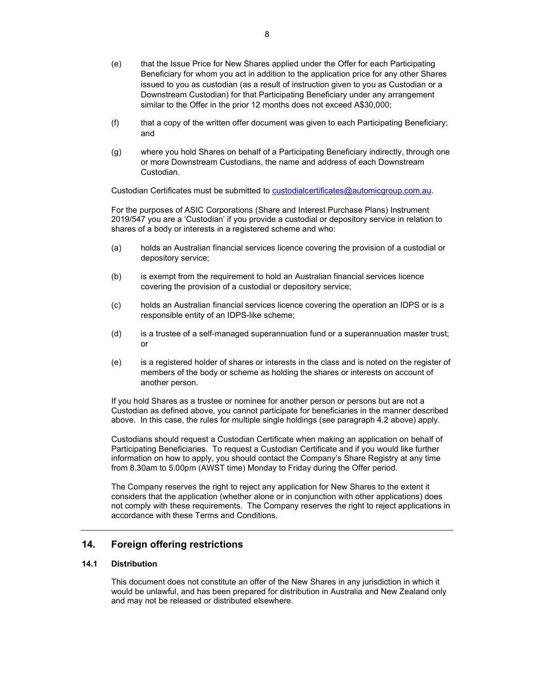- (e) that the Issue Price for New Shares applied under the Offer for each Participating Beneficiary for whom you act in addition to the application price for any other Shares issued to you as custodian (as a result of instruction given to you as Custodian or a Downstream Custodian) for that Participating Beneficiary under any arrangement similar to the Offer in the prior 12 months does not exceed A\$30,000;
- (f) that a copy of the written offer document was given to each Participating Beneficiary; and
- (g) where you hold Shares on behalf of a Participating Beneficiary indirectly, through one or more Downstream Custodians, the name and address of each Downstream Custodian.

Custodian Certificates must be submitted to custodialcertificates@automicgroup.com.au.

For the purposes of ASIC Corporations (Share and Interest Purchase Plans) Instrument 2019/547 you are a 'Custodian' if you provide a custodial or depository service in relation to shares of a body or interests in a registered scheme and who:

- (a) holds an Australian financial services licence covering the provision of a custodial or depository service;
- (b) is exempt from the requirement to hold an Australian financial services licence covering the provision of a custodial or depository service;
- (c) holds an Australian financial services licence covering the operation an IDPS or is a responsible entity of an IDPS-like scheme;
- (d) is a trustee of a self-managed superannuation fund or a superannuation master trust; or
- (e) is a registered holder of shares or interests in the class and is noted on the register of members of the body or scheme as holding the shares or interests on account of another person.

If you hold Shares as a trustee or nominee for another person or persons but are not a Custodian as defined above, you cannot participate for beneficiaries in the manner described above. In this case, the rules for multiple single holdings (see paragraph 4.2 above) apply.

Custodians should request a Custodian Certificate when making an application on behalf of Participating Beneficiaries. To request a Custodian Certificate and if you would like further information on how to apply, you should contact the Company's Share Registry at any time from 8.30am to 5.00pm (AWST time) Monday to Friday during the Offer period.

The Company reserves the right to reject any application for New Shares to the extent it considers that the application (whether alone or in conjunction with other applications) does not comply with these requirements. The Company reserves the right to reject applications in accordance with these Terms and Conditions.

# 14. Foreign offering restrictions

#### 14.1 Distribution

This document does not constitute an offer of the New Shares in any jurisdiction in which it would be unlawful, and has been prepared for distribution in Australia and New Zealand only and may not be released or distributed elsewhere.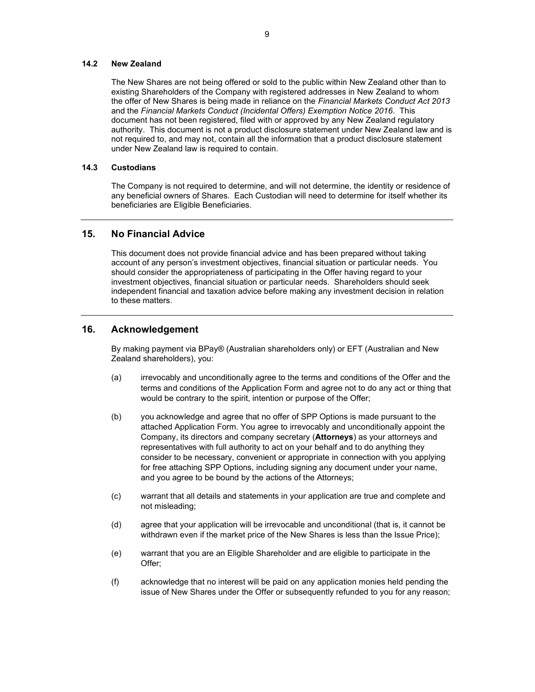#### 14.2 New Zealand

The New Shares are not being offered or sold to the public within New Zealand other than to existing Shareholders of the Company with registered addresses in New Zealand to whom the offer of New Shares is being made in reliance on the Financial Markets Conduct Act 2013 and the Financial Markets Conduct (Incidental Offers) Exemption Notice 2016. This document has not been registered, filed with or approved by any New Zealand regulatory authority. This document is not a product disclosure statement under New Zealand law and is not required to, and may not, contain all the information that a product disclosure statement under New Zealand law is required to contain.

#### 14.3 Custodians

The Company is not required to determine, and will not determine, the identity or residence of any beneficial owners of Shares. Each Custodian will need to determine for itself whether its beneficiaries are Eligible Beneficiaries.

## 15. No Financial Advice

This document does not provide financial advice and has been prepared without taking account of any person's investment objectives, financial situation or particular needs. You should consider the appropriateness of participating in the Offer having regard to your investment objectives, financial situation or particular needs. Shareholders should seek independent financial and taxation advice before making any investment decision in relation to these matters.

### 16. Acknowledgement

By making payment via BPay® (Australian shareholders only) or EFT (Australian and New Zealand shareholders), you:

- (a) irrevocably and unconditionally agree to the terms and conditions of the Offer and the terms and conditions of the Application Form and agree not to do any act or thing that would be contrary to the spirit, intention or purpose of the Offer;
- (b) you acknowledge and agree that no offer of SPP Options is made pursuant to the attached Application Form. You agree to irrevocably and unconditionally appoint the Company, its directors and company secretary (Attorneys) as your attorneys and representatives with full authority to act on your behalf and to do anything they consider to be necessary, convenient or appropriate in connection with you applying for free attaching SPP Options, including signing any document under your name, and you agree to be bound by the actions of the Attorneys;
- (c) warrant that all details and statements in your application are true and complete and not misleading;
- (d) agree that your application will be irrevocable and unconditional (that is, it cannot be withdrawn even if the market price of the New Shares is less than the Issue Price);
- (e) warrant that you are an Eligible Shareholder and are eligible to participate in the Offer;
- (f) acknowledge that no interest will be paid on any application monies held pending the issue of New Shares under the Offer or subsequently refunded to you for any reason;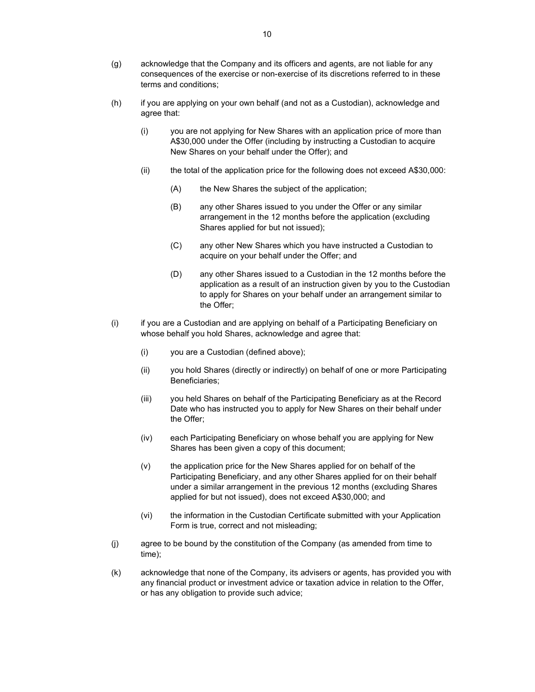- (g) acknowledge that the Company and its officers and agents, are not liable for any consequences of the exercise or non-exercise of its discretions referred to in these terms and conditions;
- (h) if you are applying on your own behalf (and not as a Custodian), acknowledge and agree that:
	- (i) you are not applying for New Shares with an application price of more than A\$30,000 under the Offer (including by instructing a Custodian to acquire New Shares on your behalf under the Offer); and
	- (ii) the total of the application price for the following does not exceed A\$30,000:
		- (A) the New Shares the subject of the application;
		- (B) any other Shares issued to you under the Offer or any similar arrangement in the 12 months before the application (excluding Shares applied for but not issued);
		- (C) any other New Shares which you have instructed a Custodian to acquire on your behalf under the Offer; and
		- (D) any other Shares issued to a Custodian in the 12 months before the application as a result of an instruction given by you to the Custodian to apply for Shares on your behalf under an arrangement similar to the Offer;
- (i) if you are a Custodian and are applying on behalf of a Participating Beneficiary on whose behalf you hold Shares, acknowledge and agree that:
	- (i) you are a Custodian (defined above);
	- (ii) you hold Shares (directly or indirectly) on behalf of one or more Participating Beneficiaries;
	- (iii) you held Shares on behalf of the Participating Beneficiary as at the Record Date who has instructed you to apply for New Shares on their behalf under the Offer;
	- (iv) each Participating Beneficiary on whose behalf you are applying for New Shares has been given a copy of this document;
	- (v) the application price for the New Shares applied for on behalf of the Participating Beneficiary, and any other Shares applied for on their behalf under a similar arrangement in the previous 12 months (excluding Shares applied for but not issued), does not exceed A\$30,000; and
	- (vi) the information in the Custodian Certificate submitted with your Application Form is true, correct and not misleading;
- (j) agree to be bound by the constitution of the Company (as amended from time to time);
- (k) acknowledge that none of the Company, its advisers or agents, has provided you with any financial product or investment advice or taxation advice in relation to the Offer, or has any obligation to provide such advice;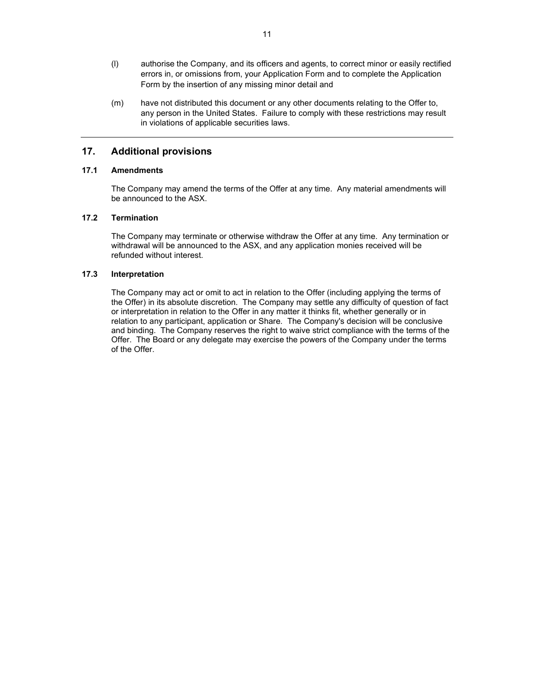- (l) authorise the Company, and its officers and agents, to correct minor or easily rectified errors in, or omissions from, your Application Form and to complete the Application Form by the insertion of any missing minor detail and
- (m) have not distributed this document or any other documents relating to the Offer to, any person in the United States. Failure to comply with these restrictions may result in violations of applicable securities laws.

# 17. Additional provisions

# 17.1 Amendments

The Company may amend the terms of the Offer at any time. Any material amendments will be announced to the ASX.

#### 17.2 Termination

The Company may terminate or otherwise withdraw the Offer at any time. Any termination or withdrawal will be announced to the ASX, and any application monies received will be refunded without interest.

#### 17.3 Interpretation

The Company may act or omit to act in relation to the Offer (including applying the terms of the Offer) in its absolute discretion. The Company may settle any difficulty of question of fact or interpretation in relation to the Offer in any matter it thinks fit, whether generally or in relation to any participant, application or Share. The Company's decision will be conclusive and binding. The Company reserves the right to waive strict compliance with the terms of the Offer. The Board or any delegate may exercise the powers of the Company under the terms of the Offer.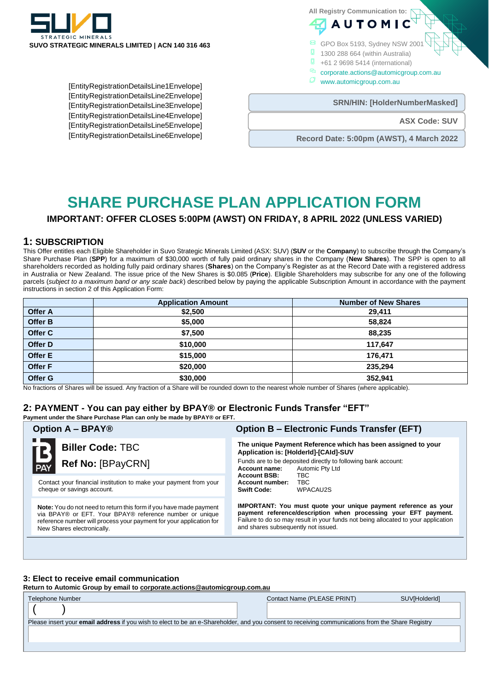

**All Registry Communication to: AUTOM** 

- GPO Box 5193, Sydney NSW 20
- $\Box$ 1300 288 664 (within Australia)
- n
- +61 2 9698 5414 (international)
- corporate.actions@automicgroup.com.au
	- www.automicgroup.com.au

**SRN/HIN: [HolderNumberMasked]** 

**ASX Code: SUV**

**Record Date: 5:00pm (AWST), 4 March 2022**

# [EntityRegistrationDetailsLine2Envelope] [EntityRegistrationDetailsLine3Envelope] [EntityRegistrationDetailsLine4Envelope] [EntityRegistrationDetailsLine5Envelope] [EntityRegistrationDetailsLine6Envelope]

[EntityRegistrationDetailsLine1Envelope]

# **SHARE PURCHASE PLAN APPLICATION FORM**

# **IMPORTANT: OFFER CLOSES 5:00PM (AWST) ON FRIDAY, 8 APRIL 2022 (UNLESS VARIED)**

# **1: SUBSCRIPTION**

This Offer entitles each Eligible Shareholder in Suvo Strategic Minerals Limited (ASX: SUV) (**SUV** or the **Company**) to subscribe through the Company's Share Purchase Plan (**SPP**) for a maximum of \$30,000 worth of fully paid ordinary shares in the Company (**New Shares**). The SPP is open to all shareholders recorded as holding fully paid ordinary shares (**Shares**) on the Company's Register as at the Record Date with a registered address in Australia or New Zealand. The issue price of the New Shares is \$0.085 (**Price**). Eligible Shareholders may subscribe for any one of the following parcels (*subject to a maximum band or any scale back*) described below by paying the applicable Subscription Amount in accordance with the payment instructions in section 2 of this Application Form:

|                | <b>Application Amount</b><br><b>Number of New Shares</b> |         |
|----------------|----------------------------------------------------------|---------|
| <b>Offer A</b> | \$2,500                                                  | 29,411  |
| <b>Offer B</b> | \$5,000                                                  | 58.824  |
| Offer C        | \$7,500                                                  | 88,235  |
| <b>Offer D</b> | \$10,000                                                 | 117.647 |
| Offer E        | \$15,000                                                 | 176.471 |
| <b>Offer F</b> | \$20,000                                                 | 235.294 |
| <b>Offer G</b> | \$30,000                                                 | 352.941 |

No fractions of Shares will be issued. Any fraction of a Share will be rounded down to the nearest whole number of Shares (where applicable).

### **2: PAYMENT - You can pay either by BPAY® or Electronic Funds Transfer "EFT" Payment under the Share Purchase Plan can only be made by BPAY® or EFT.**

| <b>Option A - BPAY®</b>                                                                                                                                                                                                                   | <b>Option B - Electronic Funds Transfer (EFT)</b>                                                                                                                                                                                                                     |  |
|-------------------------------------------------------------------------------------------------------------------------------------------------------------------------------------------------------------------------------------------|-----------------------------------------------------------------------------------------------------------------------------------------------------------------------------------------------------------------------------------------------------------------------|--|
| <b>Biller Code: TBC</b>                                                                                                                                                                                                                   | The unique Payment Reference which has been assigned to your<br>Application is: [HolderId]-[CAId]-SUV                                                                                                                                                                 |  |
| Ref No: [BPayCRN]                                                                                                                                                                                                                         | Funds are to be deposited directly to following bank account:<br>Automic Pty Ltd<br>Account name:                                                                                                                                                                     |  |
| Contact your financial institution to make your payment from your<br>cheque or savings account.                                                                                                                                           | <b>Account BSB:</b><br>TBC.<br>TBC<br>Account number:<br><b>Swift Code:</b><br>WPACAU2S                                                                                                                                                                               |  |
| <b>Note:</b> You do not need to return this form if you have made payment<br>via BPAY® or EFT. Your BPAY® reference number or unique<br>reference number will process your payment for your application for<br>New Shares electronically. | <b>IMPORTANT:</b> You must quote your unique payment reference as your<br>payment reference/description when processing your EFT payment.<br>Failure to do so may result in your funds not being allocated to your application<br>and shares subsequently not issued. |  |

#### **3: Elect to receive email communication**

**Return to Automic Group by email to [corporate.actions@automicgroup.com.au](mailto:corporate.actions@automicgroup.com.au)**

| Telephone Number                                                                                                                                         | Contact Name (PLEASE PRINT) | SUV[HolderId] |  |  |
|----------------------------------------------------------------------------------------------------------------------------------------------------------|-----------------------------|---------------|--|--|
|                                                                                                                                                          |                             |               |  |  |
|                                                                                                                                                          |                             |               |  |  |
| Please insert your <b>email address</b> if you wish to elect to be an e-Shareholder, and you consent to receiving communications from the Share Registry |                             |               |  |  |
|                                                                                                                                                          |                             |               |  |  |
|                                                                                                                                                          |                             |               |  |  |